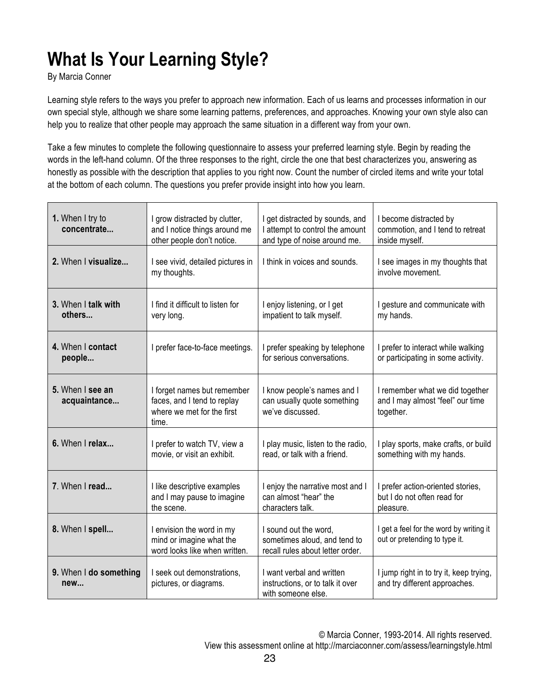## **What Is Your Learning Style?**

By Marcia Conner

Learning style refers to the ways you prefer to approach new information. Each of us learns and processes information in our own special style, although we share some learning patterns, preferences, and approaches. Knowing your own style also can help you to realize that other people may approach the same situation in a different way from your own.

Take a few minutes to complete the following questionnaire to assess your preferred learning style. Begin by reading the words in the left-hand column. Of the three responses to the right, circle the one that best characterizes you, answering as honestly as possible with the description that applies to you right now. Count the number of circled items and write your total at the bottom of each column. The questions you prefer provide insight into how you learn.

| 1. When I try to<br>concentrate  | I grow distracted by clutter,<br>and I notice things around me<br>other people don't notice.      | I get distracted by sounds, and<br>I attempt to control the amount<br>and type of noise around me. | I become distracted by<br>commotion, and I tend to retreat<br>inside myself.     |
|----------------------------------|---------------------------------------------------------------------------------------------------|----------------------------------------------------------------------------------------------------|----------------------------------------------------------------------------------|
| 2. When I visualize              | I see vivid, detailed pictures in<br>my thoughts.                                                 | I think in voices and sounds.                                                                      | I see images in my thoughts that<br>involve movement.                            |
| 3. When I talk with<br>others    | I find it difficult to listen for<br>very long.                                                   | I enjoy listening, or I get<br>impatient to talk myself.                                           | I gesture and communicate with<br>my hands.                                      |
| 4. When I contact<br>people      | I prefer face-to-face meetings.                                                                   | I prefer speaking by telephone<br>for serious conversations.                                       | I prefer to interact while walking<br>or participating in some activity.         |
| 5. When I see an<br>acquaintance | I forget names but remember<br>faces, and I tend to replay<br>where we met for the first<br>time. | I know people's names and I<br>can usually quote something<br>we've discussed.                     | I remember what we did together<br>and I may almost "feel" our time<br>together. |
| 6. When I relax                  | I prefer to watch TV, view a<br>movie, or visit an exhibit.                                       | I play music, listen to the radio,<br>read, or talk with a friend.                                 | I play sports, make crafts, or build<br>something with my hands.                 |
| 7. When I read                   | I like descriptive examples<br>and I may pause to imagine<br>the scene.                           | I enjoy the narrative most and I<br>can almost "hear" the<br>characters talk.                      | I prefer action-oriented stories,<br>but I do not often read for<br>pleasure.    |
| 8. When I spell                  | I envision the word in my<br>mind or imagine what the<br>word looks like when written.            | I sound out the word,<br>sometimes aloud, and tend to<br>recall rules about letter order.          | I get a feel for the word by writing it<br>out or pretending to type it.         |
| 9. When I do something<br>new    | I seek out demonstrations,<br>pictures, or diagrams.                                              | I want verbal and written<br>instructions, or to talk it over<br>with someone else.                | I jump right in to try it, keep trying,<br>and try different approaches.         |